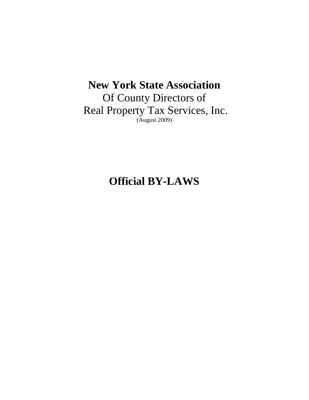# **New York State Association**

Of County Directors of Real Property Tax Services, Inc. (August 2009)

# **Official BY-LAWS**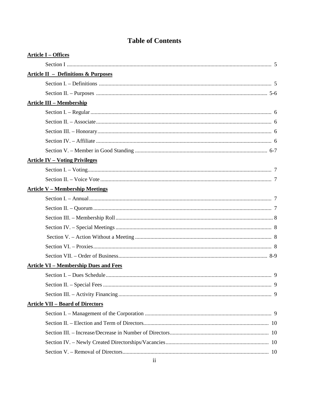| <b>Article I - Offices</b>                     |  |
|------------------------------------------------|--|
|                                                |  |
| <b>Article II - Definitions &amp; Purposes</b> |  |
|                                                |  |
|                                                |  |
| <b>Article III - Membership</b>                |  |
|                                                |  |
|                                                |  |
|                                                |  |
|                                                |  |
|                                                |  |
| <b>Article IV - Voting Privileges</b>          |  |
|                                                |  |
|                                                |  |
| <b>Article V - Membership Meetings</b>         |  |
|                                                |  |
|                                                |  |
|                                                |  |
|                                                |  |
|                                                |  |
|                                                |  |
|                                                |  |
| <b>Article VI - Membership Dues and Fees</b>   |  |
|                                                |  |
|                                                |  |
|                                                |  |
| <b>Article VII - Board of Directors</b>        |  |
|                                                |  |
|                                                |  |
|                                                |  |
|                                                |  |
|                                                |  |

# **Table of Contents**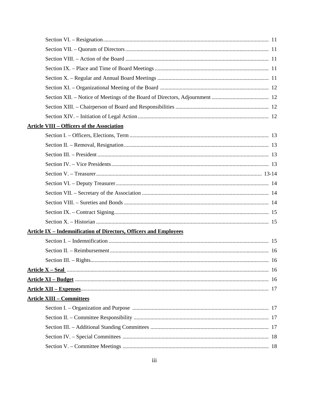| <b>Article VIII - Officers of the Association</b>                        |  |
|--------------------------------------------------------------------------|--|
|                                                                          |  |
|                                                                          |  |
|                                                                          |  |
|                                                                          |  |
|                                                                          |  |
|                                                                          |  |
|                                                                          |  |
|                                                                          |  |
|                                                                          |  |
|                                                                          |  |
| <b>Article IX - Indemnification of Directors, Officers and Employees</b> |  |
|                                                                          |  |
|                                                                          |  |
|                                                                          |  |
|                                                                          |  |
|                                                                          |  |
|                                                                          |  |
| <b>Article XIII - Committees</b>                                         |  |
|                                                                          |  |
|                                                                          |  |
|                                                                          |  |
|                                                                          |  |
|                                                                          |  |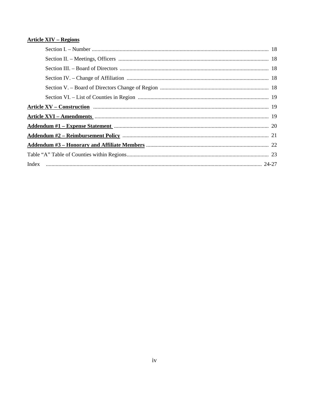# **Article XIV - Regions**

| Article XV – Construction <b>Example 20</b> 19              |  |
|-------------------------------------------------------------|--|
|                                                             |  |
| Addendum #1 - Expense Statement manufactured and all the 20 |  |
|                                                             |  |
|                                                             |  |
|                                                             |  |
|                                                             |  |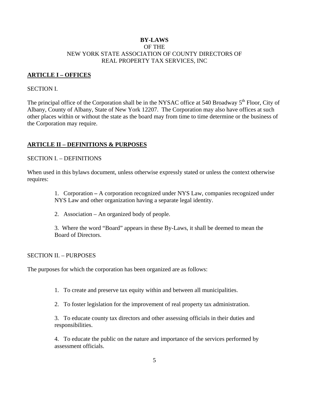### **BY-LAWS**  OF THE NEW YORK STATE ASSOCIATION OF COUNTY DIRECTORS OF REAL PROPERTY TAX SERVICES, INC

### **ARTICLE I – OFFICES**

### SECTION I.

The principal office of the Corporation shall be in the NYSAC office at 540 Broadway 5<sup>th</sup> Floor, City of Albany, County of Albany, State of New York 12207. The Corporation may also have offices at such other places within or without the state as the board may from time to time determine or the business of the Corporation may require.

### **ARTICLE II – DEFINITIONS & PURPOSES**

### SECTION I. – DEFINITIONS

When used in this bylaws document, unless otherwise expressly stated or unless the context otherwise requires:

> 1. Corporation **–** A corporation recognized under NYS Law, companies recognized under NYS Law and other organization having a separate legal identity.

2. Association – An organized body of people.

3. Where the word "Board" appears in these By-Laws, it shall be deemed to mean the Board of Directors.

### SECTION II. – PURPOSES

The purposes for which the corporation has been organized are as follows:

- 1. To create and preserve tax equity within and between all municipalities.
- 2. To foster legislation for the improvement of real property tax administration.

3. To educate county tax directors and other assessing officials in their duties and responsibilities.

4. To educate the public on the nature and importance of the services performed by assessment officials.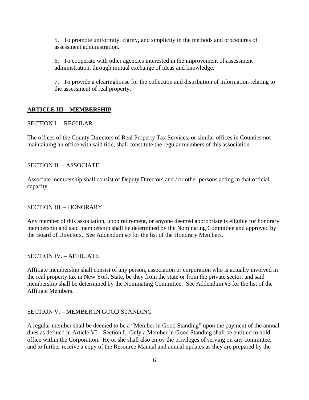5. To promote uniformity, clarity, and simplicity in the methods and procedures of assessment administration.

6. To cooperate with other agencies interested in the improvement of assessment administration, through mutual exchange of ideas and knowledge.

7. To provide a clearinghouse for the collection and distribution of information relating to the assessment of real property.

### **ARTICLE III – MEMBERSHIP**

### SECTION I. – REGULAR

The offices of the County Directors of Real Property Tax Services, or similar offices in Counties not maintaining an office with said title, shall constitute the regular members of this association.

#### SECTION II. – ASSOCIATE

Associate membership shall consist of Deputy Directors and / or other persons acting in that official capacity.

#### SECTION III. – HONORARY

Any member of this association, upon retirement, or anyone deemed appropriate is eligible for honorary membership and said membership shall be determined by the Nominating Committee and approved by the Board of Directors. See Addendum #3 for the list of the Honorary Members.

### SECTION IV. – AFFILIATE

Affiliate membership shall consist of any person, association or corporation who is actually involved in the real property tax in New York State, be they from the state or from the private sector, and said membership shall be determined by the Nominating Committee. See Addendum #3 for the list of the Affiliate Members.

### SECTION V. – MEMBER IN GOOD STANDING

A regular member shall be deemed to be a "Member in Good Standing" upon the payment of the annual dues as defined in Article VI – Section I. Only a Member in Good Standing shall be entitled to hold office within the Corporation. He or she shall also enjoy the privileges of serving on any committee, and to further receive a copy of the Resource Manual and annual updates as they are prepared by the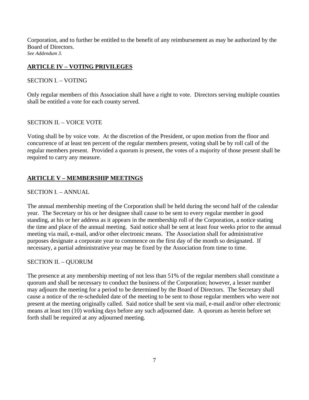Corporation, and to further be entitled to the benefit of any reimbursement as may be authorized by the Board of Directors. *See Addendum 3.*

## **ARTICLE IV – VOTING PRIVILEGES**

### SECTION I. – VOTING

Only regular members of this Association shall have a right to vote. Directors serving multiple counties shall be entitled a vote for each county served.

### SECTION II. – VOICE VOTE

Voting shall be by voice vote. At the discretion of the President, or upon motion from the floor and concurrence of at least ten percent of the regular members present, voting shall be by roll call of the regular members present. Provided a quorum is present, the votes of a majority of those present shall be required to carry any measure.

### **ARTICLE V – MEMBERSHIP MEETINGS**

### SECTION I. – ANNUAL

The annual membership meeting of the Corporation shall be held during the second half of the calendar year. The Secretary or his or her designee shall cause to be sent to every regular member in good standing, at his or her address as it appears in the membership roll of the Corporation, a notice stating the time and place of the annual meeting. Said notice shall be sent at least four weeks prior to the annual meeting via mail, e-mail, and/or other electronic means. The Association shall for administrative purposes designate a corporate year to commence on the first day of the month so designated. If necessary, a partial administrative year may be fixed by the Association from time to time.

### SECTION II. – QUORUM

The presence at any membership meeting of not less than 51% of the regular members shall constitute a quorum and shall be necessary to conduct the business of the Corporation; however, a lesser number may adjourn the meeting for a period to be determined by the Board of Directors. The Secretary shall cause a notice of the re-scheduled date of the meeting to be sent to those regular members who were not present at the meeting originally called. Said notice shall be sent via mail, e-mail and/or other electronic means at least ten (10) working days before any such adjourned date. A quorum as herein before set forth shall be required at any adjourned meeting.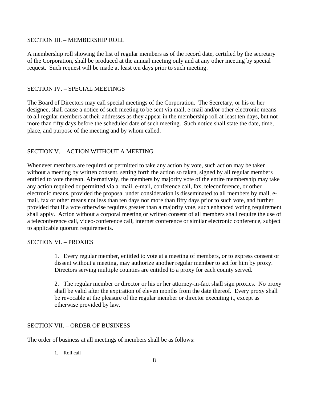### SECTION III. – MEMBERSHIP ROLL

A membership roll showing the list of regular members as of the record date, certified by the secretary of the Corporation, shall be produced at the annual meeting only and at any other meeting by special request. Such request will be made at least ten days prior to such meeting.

### SECTION IV. – SPECIAL MEETINGS

The Board of Directors may call special meetings of the Corporation. The Secretary, or his or her designee, shall cause a notice of such meeting to be sent via mail, e-mail and/or other electronic means to all regular members at their addresses as they appear in the membership roll at least ten days, but not more than fifty days before the scheduled date of such meeting. Such notice shall state the date, time, place, and purpose of the meeting and by whom called.

### SECTION V. – ACTION WITHOUT A MEETING

Whenever members are required or permitted to take any action by vote, such action may be taken without a meeting by written consent, setting forth the action so taken, signed by all regular members entitled to vote thereon. Alternatively, the members by majority vote of the entire membership may take any action required or permitted via a mail, e-mail, conference call, fax, teleconference, or other electronic means, provided the proposal under consideration is disseminated to all members by mail, email, fax or other means not less than ten days nor more than fifty days prior to such vote, and further provided that if a vote otherwise requires greater than a majority vote, such enhanced voting requirement shall apply. Action without a corporal meeting or written consent of all members shall require the use of a teleconference call, video-conference call, internet conference or similar electronic conference, subject to applicable quorum requirements.

### SECTION VI. – PROXIES

1. Every regular member, entitled to vote at a meeting of members, or to express consent or dissent without a meeting, may authorize another regular member to act for him by proxy. Directors serving multiple counties are entitled to a proxy for each county served.

2. The regular member or director or his or her attorney-in-fact shall sign proxies. No proxy shall be valid after the expiration of eleven months from the date thereof. Every proxy shall be revocable at the pleasure of the regular member or director executing it, except as otherwise provided by law.

#### SECTION VII. – ORDER OF BUSINESS

The order of business at all meetings of members shall be as follows:

1. Roll call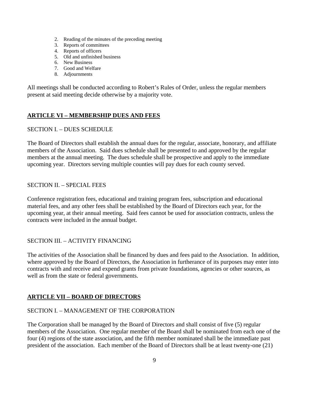- 2. Reading of the minutes of the preceding meeting
- 3. Reports of committees
- 4. Reports of officers
- 5. Old and unfinished business
- 6. New Business
- 7. Good and Welfare
- 8. Adjournments

All meetings shall be conducted according to Robert's Rules of Order, unless the regular members present at said meeting decide otherwise by a majority vote.

# **ARTICLE VI – MEMBERSHIP DUES AND FEES**

## SECTION I. – DUES SCHEDULE

The Board of Directors shall establish the annual dues for the regular, associate, honorary, and affiliate members of the Association. Said dues schedule shall be presented to and approved by the regular members at the annual meeting. The dues schedule shall be prospective and apply to the immediate upcoming year. Directors serving multiple counties will pay dues for each county served.

### SECTION II. – SPECIAL FEES

Conference registration fees, educational and training program fees, subscription and educational material fees, and any other fees shall be established by the Board of Directors each year, for the upcoming year, at their annual meeting. Said fees cannot be used for association contracts, unless the contracts were included in the annual budget.

# SECTION III. – ACTIVITY FINANCING

The activities of the Association shall be financed by dues and fees paid to the Association. In addition, where approved by the Board of Directors, the Association in furtherance of its purposes may enter into contracts with and receive and expend grants from private foundations, agencies or other sources, as well as from the state or federal governments.

# **ARTICLE VII – BOARD OF DIRECTORS**

### SECTION I. – MANAGEMENT OF THE CORPORATION

The Corporation shall be managed by the Board of Directors and shall consist of five (5) regular members of the Association. One regular member of the Board shall be nominated from each one of the four (4) regions of the state association, and the fifth member nominated shall be the immediate past president of the association. Each member of the Board of Directors shall be at least twenty-one (21)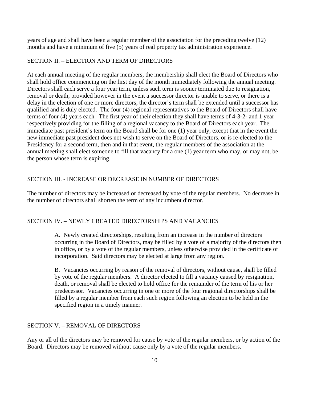years of age and shall have been a regular member of the association for the preceding twelve (12) months and have a minimum of five (5) years of real property tax administration experience.

### SECTION II. – ELECTION AND TERM OF DIRECTORS

At each annual meeting of the regular members, the membership shall elect the Board of Directors who shall hold office commencing on the first day of the month immediately following the annual meeting. Directors shall each serve a four year term, unless such term is sooner terminated due to resignation, removal or death, provided however in the event a successor director is unable to serve, or there is a delay in the election of one or more directors, the director's term shall be extended until a successor has qualified and is duly elected. The four (4) regional representatives to the Board of Directors shall have terms of four (4) years each. The first year of their election they shall have terms of 4-3-2- and 1 year respectively providing for the filling of a regional vacancy to the Board of Directors each year. The immediate past president's term on the Board shall be for one (1) year only, except that in the event the new immediate past president does not wish to serve on the Board of Directors, or is re-elected to the Presidency for a second term, then and in that event, the regular members of the association at the annual meeting shall elect someone to fill that vacancy for a one (1) year term who may, or may not, be the person whose term is expiring.

#### SECTION III. - INCREASE OR DECREASE IN NUMBER OF DIRECTORS

The number of directors may be increased or decreased by vote of the regular members. No decrease in the number of directors shall shorten the term of any incumbent director.

### SECTION IV. – NEWLY CREATED DIRECTORSHIPS AND VACANCIES

A. Newly created directorships, resulting from an increase in the number of directors occurring in the Board of Directors, may be filled by a vote of a majority of the directors then in office, or by a vote of the regular members, unless otherwise provided in the certificate of incorporation. Said directors may be elected at large from any region.

B. Vacancies occurring by reason of the removal of directors, without cause, shall be filled by vote of the regular members. A director elected to fill a vacancy caused by resignation, death, or removal shall be elected to hold office for the remainder of the term of his or her predecessor. Vacancies occurring in one or more of the four regional directorships shall be filled by a regular member from each such region following an election to be held in the specified region in a timely manner.

#### SECTION V. – REMOVAL OF DIRECTORS

Any or all of the directors may be removed for cause by vote of the regular members, or by action of the Board. Directors may be removed without cause only by a vote of the regular members.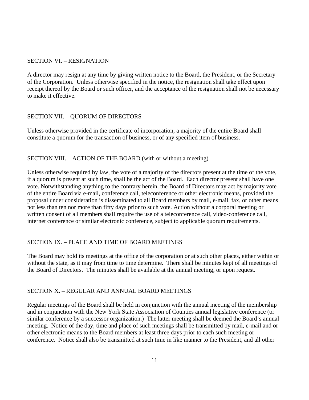### SECTION VI. – RESIGNATION

A director may resign at any time by giving written notice to the Board, the President, or the Secretary of the Corporation. Unless otherwise specified in the notice, the resignation shall take effect upon receipt thereof by the Board or such officer, and the acceptance of the resignation shall not be necessary to make it effective.

## SECTION VII. – QUORUM OF DIRECTORS

Unless otherwise provided in the certificate of incorporation, a majority of the entire Board shall constitute a quorum for the transaction of business, or of any specified item of business.

### SECTION VIII. – ACTION OF THE BOARD (with or without a meeting)

Unless otherwise required by law, the vote of a majority of the directors present at the time of the vote, if a quorum is present at such time, shall be the act of the Board. Each director present shall have one vote. Notwithstanding anything to the contrary herein, the Board of Directors may act by majority vote of the entire Board via e-mail, conference call, teleconference or other electronic means, provided the proposal under consideration is disseminated to all Board members by mail, e-mail, fax, or other means not less than ten nor more than fifty days prior to such vote. Action without a corporal meeting or written consent of all members shall require the use of a teleconference call, video-conference call, internet conference or similar electronic conference, subject to applicable quorum requirements.

# SECTION IX. – PLACE AND TIME OF BOARD MEETINGS

The Board may hold its meetings at the office of the corporation or at such other places, either within or without the state, as it may from time to time determine. There shall be minutes kept of all meetings of the Board of Directors. The minutes shall be available at the annual meeting, or upon request.

### SECTION X. – REGULAR AND ANNUAL BOARD MEETINGS

Regular meetings of the Board shall be held in conjunction with the annual meeting of the membership and in conjunction with the New York State Association of Counties annual legislative conference (or similar conference by a successor organization.) The latter meeting shall be deemed the Board's annual meeting. Notice of the day, time and place of such meetings shall be transmitted by mail, e-mail and or other electronic means to the Board members at least three days prior to each such meeting or conference. Notice shall also be transmitted at such time in like manner to the President, and all other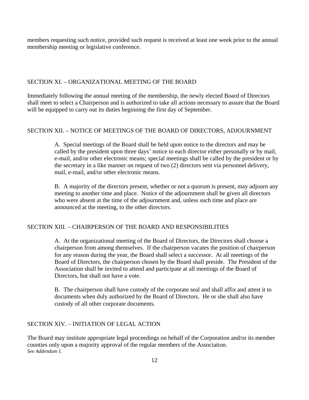members requesting such notice, provided such request is received at least one week prior to the annual membership meeting or legislative conference.

### SECTION XI. – ORGANIZATIONAL MEETING OF THE BOARD

Immediately following the annual meeting of the membership, the newly elected Board of Directors shall meet to select a Chairperson and is authorized to take all actions necessary to assure that the Board will be equipped to carry out its duties beginning the first day of September.

### SECTION XII. – NOTICE OF MEETINGS OF THE BOARD OF DIRECTORS, ADJOURNMENT

A. Special meetings of the Board shall be held upon notice to the directors and may be called by the president upon three days' notice to each director either personally or by mail, e-mail, and/or other electronic means; special meetings shall be called by the president or by the secretary in a like manner on request of two (2) directors sent via personnel delivery, mail, e-mail, and/or other electronic means.

B. A majority of the directors present, whether or not a quorum is present, may adjourn any meeting to another time and place. Notice of the adjournment shall be given all directors who were absent at the time of the adjournment and, unless such time and place are announced at the meeting, to the other directors.

#### SECTION XIII. – CHAIRPERSON OF THE BOARD AND RESPONSIBILITIES

A. At the organizational meeting of the Board of Directors, the Directors shall choose a chairperson from among themselves. If the chairperson vacates the position of chairperson for any reason during the year, the Board shall select a successor. At all meetings of the Board of Directors, the chairperson chosen by the Board shall preside. The President of the Association shall be invited to attend and participate at all meetings of the Board of Directors, but shall not have a vote.

B. The chairperson shall have custody of the corporate seal and shall affix and attest it to documents when duly authorized by the Board of Directors. He or she shall also have custody of all other corporate documents.

### SECTION XIV. – INITIATION OF LEGAL ACTION

The Board may institute appropriate legal proceedings on behalf of the Corporation and/or its member counties only upon a majority approval of the regular members of the Association. *See Addendum 1.*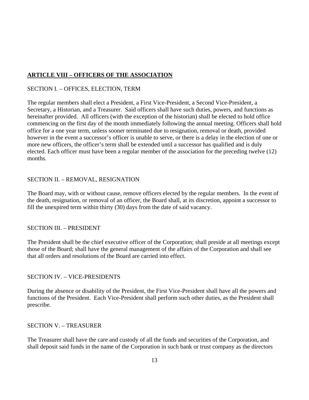# **ARTICLE VIII – OFFICERS OF THE ASSOCIATION**

# SECTION I. – OFFICES, ELECTION, TERM

The regular members shall elect a President, a First Vice-President, a Second Vice-President, a Secretary, a Historian, and a Treasurer. Said officers shall have such duties, powers, and functions as hereinafter provided. All officers (with the exception of the historian) shall be elected to hold office commencing on the first day of the month immediately following the annual meeting. Officers shall hold office for a one year term, unless sooner terminated due to resignation, removal or death, provided however in the event a successor's officer is unable to serve, or there is a delay in the election of one or more new officers, the officer's term shall be extended until a successor has qualified and is duly elected. Each officer must have been a regular member of the association for the preceding twelve (12) months.

## SECTION II. – REMOVAL, RESIGNATION

The Board may, with or without cause, remove officers elected by the regular members. In the event of the death, resignation, or removal of an officer, the Board shall, at its discretion, appoint a successor to fill the unexpired term within thirty (30) days from the date of said vacancy.

### SECTION III. – PRESIDENT

The President shall be the chief executive officer of the Corporation; shall preside at all meetings except those of the Board; shall have the general management of the affairs of the Corporation and shall see that all orders and resolutions of the Board are carried into effect.

### SECTION IV. – VICE-PRESIDENTS

During the absence or disability of the President, the First Vice-President shall have all the powers and functions of the President. Each Vice-President shall perform such other duties, as the President shall prescribe.

### SECTION V. – TREASURER

The Treasurer shall have the care and custody of all the funds and securities of the Corporation, and shall deposit said funds in the name of the Corporation in such bank or trust company as the directors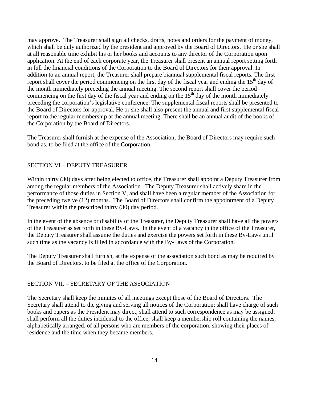may approve. The Treasurer shall sign all checks, drafts, notes and orders for the payment of money, which shall be duly authorized by the president and approved by the Board of Directors. He or she shall at all reasonable time exhibit his or her books and accounts to any director of the Corporation upon application. At the end of each corporate year, the Treasurer shall present an annual report setting forth in full the financial conditions of the Corporation to the Board of Directors for their approval. In addition to an annual report, the Treasurer shall prepare biannual supplemental fiscal reports. The first report shall cover the period commencing on the first day of the fiscal year and ending the  $15<sup>th</sup>$  day of the month immediately preceding the annual meeting. The second report shall cover the period commencing on the first day of the fiscal year and ending on the  $15<sup>th</sup>$  day of the month immediately preceding the corporation's legislative conference. The supplemental fiscal reports shall be presented to the Board of Directors for approval. He or she shall also present the annual and first supplemental fiscal report to the regular membership at the annual meeting. There shall be an annual audit of the books of the Corporation by the Board of Directors.

The Treasurer shall furnish at the expense of the Association, the Board of Directors may require such bond as, to be filed at the office of the Corporation.

#### SECTION VI – DEPUTY TREASURER

Within thirty (30) days after being elected to office, the Treasurer shall appoint a Deputy Treasurer from among the regular members of the Association. The Deputy Treasurer shall actively share in the performance of those duties in Section V, and shall have been a regular member of the Association for the preceding twelve (12) months. The Board of Directors shall confirm the appointment of a Deputy Treasurer within the prescribed thirty (30) day period.

In the event of the absence or disability of the Treasurer, the Deputy Treasurer shall have all the powers of the Treasurer as set forth in these By-Laws. In the event of a vacancy in the office of the Treasurer, the Deputy Treasurer shall assume the duties and exercise the powers set forth in these By-Laws until such time as the vacancy is filled in accordance with the By-Laws of the Corporation.

The Deputy Treasurer shall furnish, at the expense of the association such bond as may be required by the Board of Directors, to be filed at the office of the Corporation.

#### SECTION VII. – SECRETARY OF THE ASSOCIATION

The Secretary shall keep the minutes of all meetings except those of the Board of Directors. The Secretary shall attend to the giving and serving all notices of the Corporation; shall have charge of such books and papers as the President may direct; shall attend to such correspondence as may be assigned; shall perform all the duties incidental to the office; shall keep a membership roll containing the names, alphabetically arranged, of all persons who are members of the corporation, showing their places of residence and the time when they became members.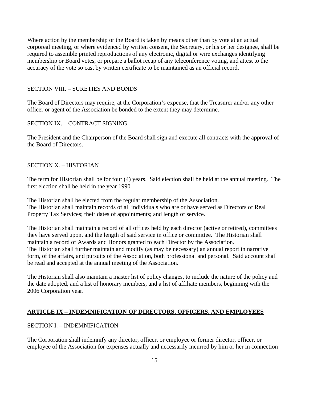Where action by the membership or the Board is taken by means other than by vote at an actual corporeal meeting, or where evidenced by written consent, the Secretary, or his or her designee, shall be required to assemble printed reproductions of any electronic, digital or wire exchanges identifying membership or Board votes, or prepare a ballot recap of any teleconference voting, and attest to the accuracy of the vote so cast by written certificate to be maintained as an official record.

### SECTION VIII. – SURETIES AND BONDS

The Board of Directors may require, at the Corporation's expense, that the Treasurer and/or any other officer or agent of the Association be bonded to the extent they may determine.

#### SECTION IX. – CONTRACT SIGNING

The President and the Chairperson of the Board shall sign and execute all contracts with the approval of the Board of Directors.

#### SECTION X. – HISTORIAN

The term for Historian shall be for four (4) years. Said election shall be held at the annual meeting. The first election shall be held in the year 1990.

The Historian shall be elected from the regular membership of the Association. The Historian shall maintain records of all individuals who are or have served as Directors of Real Property Tax Services; their dates of appointments; and length of service.

The Historian shall maintain a record of all offices held by each director (active or retired), committees they have served upon, and the length of said service in office or committee. The Historian shall maintain a record of Awards and Honors granted to each Director by the Association. The Historian shall further maintain and modify (as may be necessary) an annual report in narrative form, of the affairs, and pursuits of the Association, both professional and personal. Said account shall be read and accepted at the annual meeting of the Association.

The Historian shall also maintain a master list of policy changes, to include the nature of the policy and the date adopted, and a list of honorary members, and a list of affiliate members, beginning with the 2006 Corporation year.

# **ARTICLE IX – INDEMNIFICATION OF DIRECTORS, OFFICERS, AND EMPLOYEES**

### SECTION I. – INDEMNIFICATION

The Corporation shall indemnify any director, officer, or employee or former director, officer, or employee of the Association for expenses actually and necessarily incurred by him or her in connection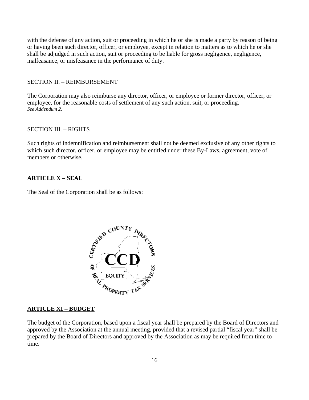with the defense of any action, suit or proceeding in which he or she is made a party by reason of being or having been such director, officer, or employee, except in relation to matters as to which he or she shall be adjudged in such action, suit or proceeding to be liable for gross negligence, negligence, malfeasance, or misfeasance in the performance of duty.

#### SECTION II. – REIMBURSEMENT

The Corporation may also reimburse any director, officer, or employee or former director, officer, or employee, for the reasonable costs of settlement of any such action, suit, or proceeding. *See Addendum 2.* 

#### SECTION III. – RIGHTS

Such rights of indemnification and reimbursement shall not be deemed exclusive of any other rights to which such director, officer, or employee may be entitled under these By-Laws, agreement, vote of members or otherwise.

#### **ARTICLE X – SEAL**

The Seal of the Corporation shall be as follows:



#### **ARTICLE XI – BUDGET**

The budget of the Corporation, based upon a fiscal year shall be prepared by the Board of Directors and approved by the Association at the annual meeting, provided that a revised partial "fiscal year" shall be prepared by the Board of Directors and approved by the Association as may be required from time to time.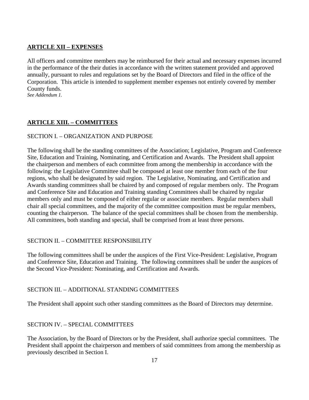# **ARTICLE XII – EXPENSES**

All officers and committee members may be reimbursed for their actual and necessary expenses incurred in the performance of the their duties in accordance with the written statement provided and approved annually, pursuant to rules and regulations set by the Board of Directors and filed in the office of the Corporation. This article is intended to supplement member expenses not entirely covered by member County funds.

*See Addendum 1.*

# **ARTICLE XIII. – COMMITTEES**

## SECTION I. – ORGANIZATION AND PURPOSE

The following shall be the standing committees of the Association; Legislative, Program and Conference Site, Education and Training, Nominating, and Certification and Awards. The President shall appoint the chairperson and members of each committee from among the membership in accordance with the following: the Legislative Committee shall be composed at least one member from each of the four regions, who shall be designated by said region. The Legislative, Nominating, and Certification and Awards standing committees shall be chaired by and composed of regular members only. The Program and Conference Site and Education and Training standing Committees shall be chaired by regular members only and must be composed of either regular or associate members. Regular members shall chair all special committees, and the majority of the committee composition must be regular members, counting the chairperson. The balance of the special committees shall be chosen from the membership. All committees, both standing and special, shall be comprised from at least three persons.

# SECTION II. – COMMITTEE RESPONSIBILITY

The following committees shall be under the auspices of the First Vice-President: Legislative, Program and Conference Site, Education and Training. The following committees shall be under the auspices of the Second Vice-President: Nominating, and Certification and Awards.

### SECTION III. – ADDITIONAL STANDING COMMITTEES

The President shall appoint such other standing committees as the Board of Directors may determine.

# SECTION IV. – SPECIAL COMMITTEES

The Association, by the Board of Directors or by the President, shall authorize special committees. The President shall appoint the chairperson and members of said committees from among the membership as previously described in Section I.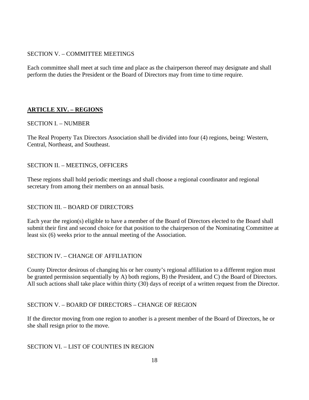## SECTION V. – COMMITTEE MEETINGS

Each committee shall meet at such time and place as the chairperson thereof may designate and shall perform the duties the President or the Board of Directors may from time to time require.

# **ARTICLE XIV. – REGIONS**

## SECTION I. – NUMBER

The Real Property Tax Directors Association shall be divided into four (4) regions, being: Western, Central, Northeast, and Southeast.

## SECTION II. – MEETINGS, OFFICERS

These regions shall hold periodic meetings and shall choose a regional coordinator and regional secretary from among their members on an annual basis.

# SECTION III. – BOARD OF DIRECTORS

Each year the region(s) eligible to have a member of the Board of Directors elected to the Board shall submit their first and second choice for that position to the chairperson of the Nominating Committee at least six (6) weeks prior to the annual meeting of the Association.

# SECTION IV. – CHANGE OF AFFILIATION

County Director desirous of changing his or her county's regional affiliation to a different region must be granted permission sequentially by A) both regions, B) the President, and C) the Board of Directors. All such actions shall take place within thirty (30) days of receipt of a written request from the Director.

# SECTION V. – BOARD OF DIRECTORS – CHANGE OF REGION

If the director moving from one region to another is a present member of the Board of Directors, he or she shall resign prior to the move.

### SECTION VI. – LIST OF COUNTIES IN REGION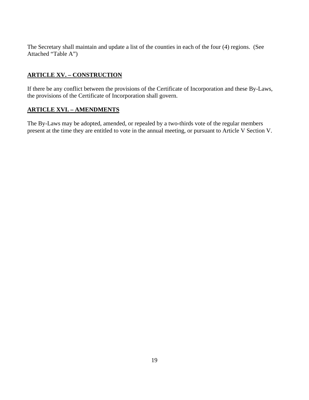The Secretary shall maintain and update a list of the counties in each of the four (4) regions. (See Attached "Table A")

# **ARTICLE XV. – CONSTRUCTION**

If there be any conflict between the provisions of the Certificate of Incorporation and these By-Laws, the provisions of the Certificate of Incorporation shall govern.

# **ARTICLE XVI. – AMENDMENTS**

The By-Laws may be adopted, amended, or repealed by a two-thirds vote of the regular members present at the time they are entitled to vote in the annual meeting, or pursuant to Article V Section V.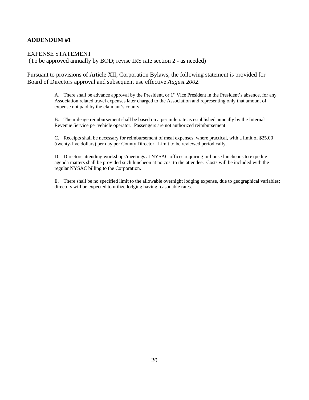### **ADDENDUM #1**

#### EXPENSE STATEMENT

(To be approved annually by BOD; revise IRS rate section 2 - as needed)

Pursuant to provisions of Article XII, Corporation Bylaws, the following statement is provided for Board of Directors approval and subsequent use effective *August 2002*.

> A. There shall be advance approval by the President, or  $1<sup>st</sup>$  Vice President in the President's absence, for any Association related travel expenses later charged to the Association and representing only that amount of expense not paid by the claimant's county.

B. The mileage reimbursement shall be based on a per mile rate as established annually by the Internal Revenue Service per vehicle operator. Passengers are not authorized reimbursement

C. Receipts shall be necessary for reimbursement of meal expenses, where practical, with a limit of \$25.00 (twenty-five dollars) per day per County Director. Limit to be reviewed periodically.

D. Directors attending workshops/meetings at NYSAC offices requiring in-house luncheons to expedite agenda matters shall be provided such luncheon at no cost to the attendee. Costs will be included with the regular NYSAC billing to the Corporation.

E. There shall be no specified limit to the allowable overnight lodging expense, due to geographical variables; directors will be expected to utilize lodging having reasonable rates.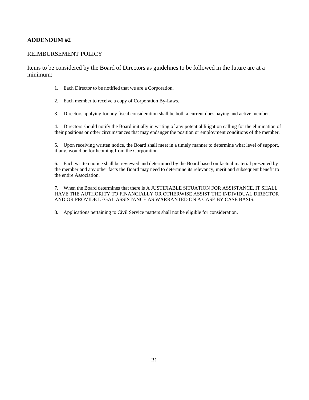### **ADDENDUM #2**

#### REIMBURSEMENT POLICY

Items to be considered by the Board of Directors as guidelines to be followed in the future are at a minimum:

- 1. Each Director to be notified that we are a Corporation.
- 2. Each member to receive a copy of Corporation By-Laws.
- 3. Directors applying for any fiscal consideration shall be both a current dues paying and active member.

4. Directors should notify the Board initially in writing of any potential litigation calling for the elimination of their positions or other circumstances that may endanger the position or employment conditions of the member.

5. Upon receiving written notice, the Board shall meet in a timely manner to determine what level of support, if any, would be forthcoming from the Corporation.

6. Each written notice shall be reviewed and determined by the Board based on factual material presented by the member and any other facts the Board may need to determine its relevancy, merit and subsequent benefit to the entire Association.

7. When the Board determines that there is A JUSTIFIABLE SITUATION FOR ASSISTANCE, IT SHALL HAVE THE AUTHORITY TO FINANCIALLY OR OTHERWISE ASSIST THE INDIVIDUAL DIRECTOR AND OR PROVIDE LEGAL ASSISTANCE AS WARRANTED ON A CASE BY CASE BASIS.

8. Applications pertaining to Civil Service matters shall not be eligible for consideration.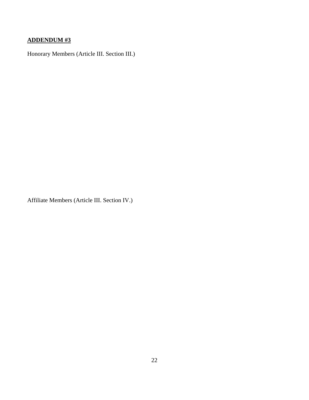# **ADDENDUM #3**

Honorary Members (Article III. Section III.)

Affiliate Members (Article III. Section IV.)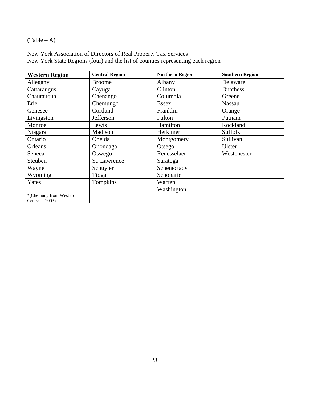(Table – A)

New York Association of Directors of Real Property Tax Services New York State Regions (four) and the list of counties representing each region

| <b>Western Region</b>  | <b>Central Region</b> | <b>Northern Region</b> | <b>Southern Region</b> |
|------------------------|-----------------------|------------------------|------------------------|
| Allegany               | <b>Broome</b>         | Albany                 | Delaware               |
| Cattaraugus            | Cayuga                | Clinton                | Dutchess               |
| Chautauqua             | Chenango              | Columbia               | Greene                 |
| Erie                   | Chemung $*$           | <b>Essex</b>           | Nassau                 |
| Genesee                | Cortland              | Franklin               | Orange                 |
| Livingston             | Jefferson             | Fulton                 | Putnam                 |
| Monroe                 | Lewis                 | Hamilton               | Rockland               |
| Niagara                | Madison               | Herkimer               | Suffolk                |
| Ontario                | Oneida                | Montgomery             | Sullivan               |
| Orleans                | Onondaga              | Otsego                 | Ulster                 |
| Seneca                 | Oswego                | Renesselaer            | Westchester            |
| Steuben                | St. Lawrence          | Saratoga               |                        |
| Wayne                  | Schuyler              | Schenectady            |                        |
| Wyoming                | Tioga                 | Schoharie              |                        |
| Yates                  | Tompkins              | Warren                 |                        |
|                        |                       | Washington             |                        |
| *(Chemung from West to |                       |                        |                        |
| $Central - 2003$       |                       |                        |                        |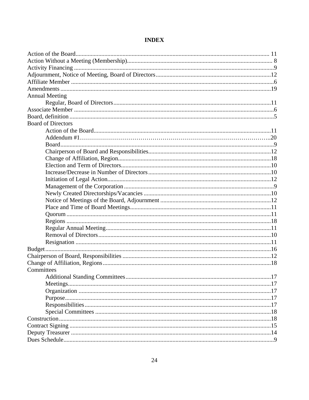| <b>Annual Meeting</b>     |  |
|---------------------------|--|
|                           |  |
|                           |  |
|                           |  |
| <b>Board of Directors</b> |  |
|                           |  |
|                           |  |
|                           |  |
|                           |  |
|                           |  |
|                           |  |
|                           |  |
|                           |  |
|                           |  |
|                           |  |
|                           |  |
|                           |  |
|                           |  |
|                           |  |
|                           |  |
|                           |  |
|                           |  |
|                           |  |
|                           |  |
|                           |  |
| Committees                |  |
|                           |  |
|                           |  |
|                           |  |
|                           |  |
|                           |  |
|                           |  |
|                           |  |
|                           |  |
|                           |  |
|                           |  |

# **INDEX**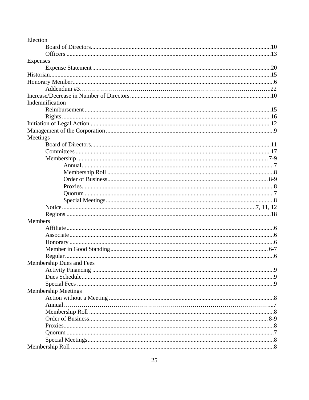| Election                   |  |
|----------------------------|--|
|                            |  |
|                            |  |
| <b>Expenses</b>            |  |
|                            |  |
|                            |  |
|                            |  |
|                            |  |
|                            |  |
| Indemnification            |  |
|                            |  |
|                            |  |
|                            |  |
|                            |  |
| Meetings                   |  |
|                            |  |
|                            |  |
|                            |  |
|                            |  |
|                            |  |
|                            |  |
|                            |  |
|                            |  |
|                            |  |
|                            |  |
|                            |  |
| Members                    |  |
|                            |  |
|                            |  |
|                            |  |
|                            |  |
|                            |  |
| Membership Dues and Fees   |  |
|                            |  |
|                            |  |
|                            |  |
| <b>Membership Meetings</b> |  |
|                            |  |
|                            |  |
|                            |  |
|                            |  |
|                            |  |
|                            |  |
|                            |  |
|                            |  |
|                            |  |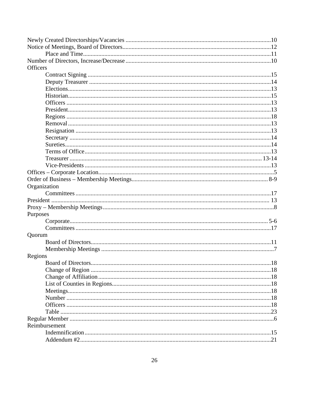| <b>Officers</b> |    |
|-----------------|----|
|                 |    |
|                 |    |
|                 |    |
|                 |    |
|                 |    |
|                 |    |
|                 |    |
|                 |    |
|                 |    |
|                 |    |
|                 |    |
|                 |    |
|                 |    |
|                 |    |
|                 |    |
|                 |    |
| Organization    |    |
|                 |    |
|                 |    |
|                 |    |
| Purposes        |    |
|                 |    |
|                 |    |
| Quorum          |    |
|                 |    |
|                 |    |
| Regions         |    |
|                 | 18 |
|                 |    |
|                 |    |
|                 |    |
|                 |    |
|                 |    |
|                 |    |
|                 |    |
|                 |    |
| Reimbursement   |    |
|                 |    |
|                 |    |